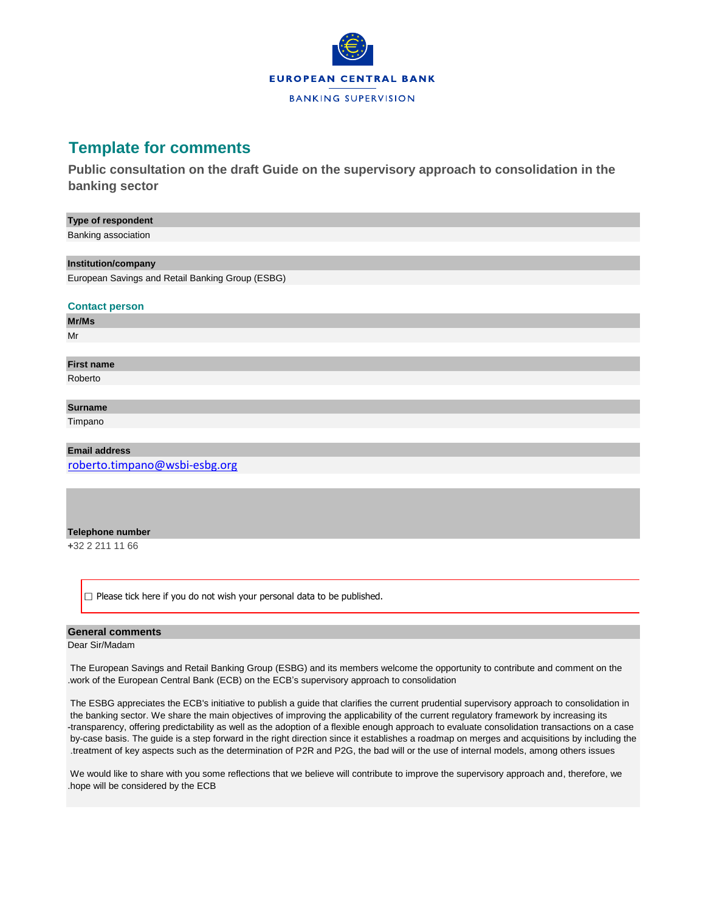

## **Template for comments**

**Public consultation on the draft Guide on the supervisory approach to consolidation in the banking sector**

#### **Type of respondent**

Banking association

#### **Institution/company**

European Savings and Retail Banking Group (ESBG)

#### **Contact person**

**Mr/Ms**

## Mr

### **First name**

Roberto

#### **Surname**

Timpano

#### **Email address**

[roberto.timpano@wsbi-esbg.org](mailto:roberto.timpano@wsbi-esbg.org)

#### **Telephone number**

**+**32 2 211 11 66

 $\Box$  Please tick here if you do not wish your personal data to be published.

#### **General comments**

#### Dear Sir/Madam

The European Savings and Retail Banking Group (ESBG) and its members welcome the opportunity to contribute and comment on the .work of the European Central Bank (ECB) on the ECB's supervisory approach to consolidation

The ESBG appreciates the ECB's initiative to publish a guide that clarifies the current prudential supervisory approach to consolidation in the banking sector. We share the main objectives of improving the applicability of the current regulatory framework by increasing its -transparency, offering predictability as well as the adoption of a flexible enough approach to evaluate consolidation transactions on a case by-case basis. The guide is a step forward in the right direction since it establishes a roadmap on merges and acquisitions by including the .treatment of key aspects such as the determination of P2R and P2G, the bad will or the use of internal models, among others issues

We would like to share with you some reflections that we believe will contribute to improve the supervisory approach and, therefore, we .hope will be considered by the ECB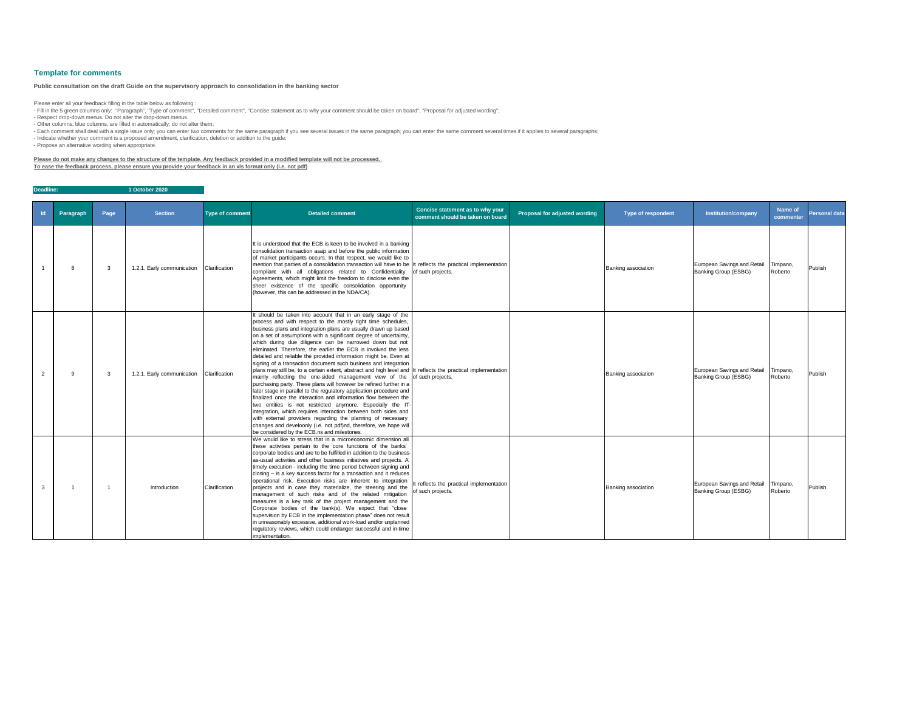| $\mathsf{Id}$ | Paragraph | Page | <b>Section</b>             | <b>Type of comment</b> | <b>Detailed comment</b>                                                                                                                                                                                                                                                                                                                                                                                                                                                                                                                                                                                                                                                                                                                                                                                                                                                                                                                                                                                                                                                                                                                                                                                                                                                   | Concise statement as to why your<br>comment should be taken on board | <b>Proposal for adjusted wording</b> | <b>Type of respondent</b>  | Institution/company                                               | <b>Name of</b><br>commenter | <b>Personal data</b> |
|---------------|-----------|------|----------------------------|------------------------|---------------------------------------------------------------------------------------------------------------------------------------------------------------------------------------------------------------------------------------------------------------------------------------------------------------------------------------------------------------------------------------------------------------------------------------------------------------------------------------------------------------------------------------------------------------------------------------------------------------------------------------------------------------------------------------------------------------------------------------------------------------------------------------------------------------------------------------------------------------------------------------------------------------------------------------------------------------------------------------------------------------------------------------------------------------------------------------------------------------------------------------------------------------------------------------------------------------------------------------------------------------------------|----------------------------------------------------------------------|--------------------------------------|----------------------------|-------------------------------------------------------------------|-----------------------------|----------------------|
|               | -8        | -3   | 1.2.1. Early communication | Clarification          | It is understood that the ECB is keen to be involved in a banking<br>consolidation transaction asap and before the public information<br>of market participants occurs. In that respect, we would like to<br>mention that parties of a consolidation transaction will have to be   It reflects the practical implementation<br>compliant with all obligations related to Confidentiality<br>Agreements, which might limit the freedom to disclose even the<br>sheer existence of the specific consolidation opportunity<br>(however, this can be addressed in the NDA/CA).                                                                                                                                                                                                                                                                                                                                                                                                                                                                                                                                                                                                                                                                                                | of such projects.                                                    |                                      | <b>Banking association</b> | <b>European Savings and Retail</b><br><b>Banking Group (ESBG)</b> | Timpano,<br>Roberto         | Publish              |
|               | -9        | 3    | 1.2.1. Early communication | Clarification          | It should be taken into account that in an early stage of the<br>process and with respect to the mostly tight time schedules,<br>business plans and integration plans are usually drawn up based<br>on a set of assumptions with a significant degree of uncertainty,<br>which during due diligence can be narrowed down but not<br>eliminated. Therefore, the earlier the ECB is involved the less<br>detailed and reliable the provided information might be. Even at<br>signing of a transaction document such business and integration<br>plans may still be, to a certain extent, abstract and high level and It reflects the practical implementation<br>mainly reflecting the one-sided management view of the of such projects.<br>purchasing party. These plans will however be refined further in a<br>later stage in parallel to the regulatory application procedure and<br>finalized once the interaction and information flow between the<br>two entities is not restricted anymore. Especially the IT-<br>integration, which requires interaction between both sides and<br>with external providers regarding the planning of necessary<br>changes and develoonly (i.e. not pdf)nd, therefore, we hope will<br>be considered by the ECB.ns and milestones. |                                                                      |                                      | <b>Banking association</b> | European Savings and Retail<br><b>Banking Group (ESBG)</b>        | Timpano,<br>Roberto         | Publish              |
|               |           |      | Introduction               | Clarification          | We would like to stress that in a microeconomic dimension all<br>these activities pertain to the core functions of the banks'<br>corporate bodies and are to be fulfilled in addition to the business-<br>as-usual activities and other business initiatives and projects. A<br>timely execution - including the time period between signing and<br>closing – is a key success factor for a transaction and it reduces<br>operational risk. Execution risks are inherent to integration<br>projects and in case they materialize, the steering and the<br>management of such risks and of the related mitigation<br>measures is a key task of the project management and the<br>Corporate bodies of the bank(s). We expect that "close<br>supervision by ECB in the implementation phase" does not result<br>in unreasonably excessive, additional work-load and/or unplanned<br>regulatory reviews, which could endanger successful and in-time<br>implementation.                                                                                                                                                                                                                                                                                                       | reflects the practical implementation<br>of such projects.           |                                      | <b>Banking association</b> | European Savings and Retail<br><b>Banking Group (ESBG)</b>        | Timpano,<br>Roberto         | Publish              |

- Fill in the 5 green columns only: "Paragraph", "Type of comment", "Detailed comment", "Concise statement as to why your comment should be taken on board", "Proposal for adjusted wording"; - Respect drop-down menus. Do not alter the drop-down menus.

- Each comment shall deal with a single issue only; you can enter two comments for the same paragraph if you see several issues in the same paragraph; you can enter the same comment several times if it applies to several p - Indicate whether your comment is a proposed amendment, clarification, deletion or addition to the guide;

**Deadline: 1 October 2020**

# **Template for comments**

Please enter all your feedback filling in the table below as following :

- Other columns, blue columns, are filled in automatically; do not alter them;

- Propose an alternative wording when appropriate.

**Please do not make any changes to the structure of the template. Any feedback provided in a modified template will not be processed. To ease the feedback process, please ensure you provide your feedback in an xls format only (i.e. not pdf)**

**Public consultation on the draft Guide on the supervisory approach to consolidation in the banking sector**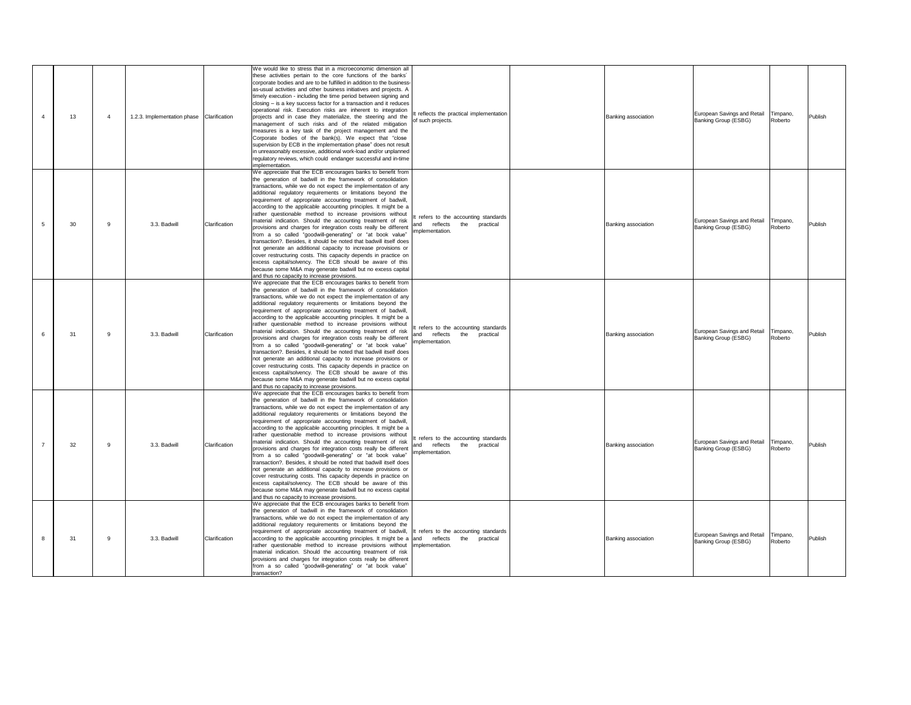| 13  |    | 1.2.3. Implementation phase Clarification |               | We would like to stress that in a microeconomic dimension all<br>these activities pertain to the core functions of the banks'<br>corporate bodies and are to be fulfilled in addition to the business-<br>as-usual activities and other business initiatives and projects. A<br>timely execution - including the time period between signing and<br>closing – is a key success factor for a transaction and it reduces<br>operational risk. Execution risks are inherent to integration<br>projects and in case they materialize, the steering and the<br>management of such risks and of the related mitigation<br>measures is a key task of the project management and the<br>Corporate bodies of the bank(s). We expect that "close<br>supervision by ECB in the implementation phase" does not result<br>in unreasonably excessive, additional work-load and/or unplanned                                                                                                                                                                                                                                                            | t reflects the practical implementation<br>of such projects.                                  | <b>Banking association</b> | <b>European Savings and Retail</b><br><b>Banking Group (ESBG)</b> | Timpano,<br>Roberto | Publish |
|-----|----|-------------------------------------------|---------------|------------------------------------------------------------------------------------------------------------------------------------------------------------------------------------------------------------------------------------------------------------------------------------------------------------------------------------------------------------------------------------------------------------------------------------------------------------------------------------------------------------------------------------------------------------------------------------------------------------------------------------------------------------------------------------------------------------------------------------------------------------------------------------------------------------------------------------------------------------------------------------------------------------------------------------------------------------------------------------------------------------------------------------------------------------------------------------------------------------------------------------------|-----------------------------------------------------------------------------------------------|----------------------------|-------------------------------------------------------------------|---------------------|---------|
| 30  | -9 | 3.3. Badwill                              | Clarification | regulatory reviews, which could endanger successful and in-time<br>implementation.<br>We appreciate that the ECB encourages banks to benefit from<br>the generation of badwill in the framework of consolidation<br>transactions, while we do not expect the implementation of any<br>additional regulatory requirements or limitations beyond the<br>requirement of appropriate accounting treatment of badwill,<br>according to the applicable accounting principles. It might be a<br>rather questionable method to increase provisions without<br>material indication. Should the accounting treatment of risk<br>provisions and charges for integration costs really be different<br>from a so called "goodwill-generating" or "at book value"<br>transaction?. Besides, it should be noted that badwill itself does<br>not generate an additional capacity to increase provisions or<br>cover restructuring costs. This capacity depends in practice on<br>excess capital/solvency. The ECB should be aware of this<br>because some M&A may generate badwill but no excess capital<br>and thus no capacity to increase provisions. | t refers to the accounting standards<br>reflects the<br>practical<br>and<br>mplementation.    | <b>Banking association</b> | European Savings and Retail<br>Banking Group (ESBG)               | Timpano,<br>Roberto | Publish |
| -31 | -9 | 3.3. Badwill                              | Clarification | We appreciate that the ECB encourages banks to benefit from<br>the generation of badwill in the framework of consolidation<br>transactions, while we do not expect the implementation of any<br>additional regulatory requirements or limitations beyond the<br>requirement of appropriate accounting treatment of badwill,<br>according to the applicable accounting principles. It might be a<br>rather questionable method to increase provisions without<br>material indication. Should the accounting treatment of risk<br>provisions and charges for integration costs really be different<br>from a so called "goodwill-generating" or "at book value"<br>transaction?. Besides, it should be noted that badwill itself does<br>not generate an additional capacity to increase provisions or<br>cover restructuring costs. This capacity depends in practice on<br>excess capital/solvency. The ECB should be aware of this<br>because some M&A may generate badwill but no excess capital<br>and thus no capacity to increase provisions.                                                                                       | t refers to the accounting standards<br>the<br>practical<br>reflects<br>and<br>mplementation. | <b>Banking association</b> | European Savings and Retail<br><b>Banking Group (ESBG)</b>        | Timpano,<br>Roberto | Publish |
| 32  | -9 | 3.3. Badwill                              | Clarification | We appreciate that the ECB encourages banks to benefit from<br>the generation of badwill in the framework of consolidation<br>transactions, while we do not expect the implementation of any<br>additional regulatory requirements or limitations beyond the<br>requirement of appropriate accounting treatment of badwill<br>according to the applicable accounting principles. It might be a<br>rather questionable method to increase provisions without<br>material indication. Should the accounting treatment of risk<br>provisions and charges for integration costs really be different<br>from a so called "goodwill-generating" or "at book value"<br>transaction?. Besides, it should be noted that badwill itself does<br>not generate an additional capacity to increase provisions or<br>cover restructuring costs. This capacity depends in practice on<br>excess capital/solvency. The ECB should be aware of this<br>because some M&A may generate badwill but no excess capital<br>and thus no capacity to increase provisions.                                                                                        | refers to the accounting standards<br>reflects the<br>practical<br>hne<br>nplementation.      | <b>Banking association</b> | <b>European Savings and Retail</b><br><b>Banking Group (ESBG)</b> | Timpano,<br>Roberto | Publish |
| 31  | -9 | 3.3. Badwill                              | Clarification | We appreciate that the ECB encourages banks to benefit from<br>the generation of badwill in the framework of consolidation<br>transactions, while we do not expect the implementation of any<br>additional regulatory requirements or limitations beyond the<br>requirement of appropriate accounting treatment of badwill, It refers to the accounting standards<br>according to the applicable accounting principles. It might be a $ $ and reflects the<br>rather questionable method to increase provisions without implementation.<br>material indication. Should the accounting treatment of risk<br>provisions and charges for integration costs really be different<br>from a so called "goodwill-generating" or "at book value"<br>transaction?                                                                                                                                                                                                                                                                                                                                                                                 | practical                                                                                     | <b>Banking association</b> | European Savings and Retail<br><b>Banking Group (ESBG)</b>        | Timpano,<br>Roberto | Publish |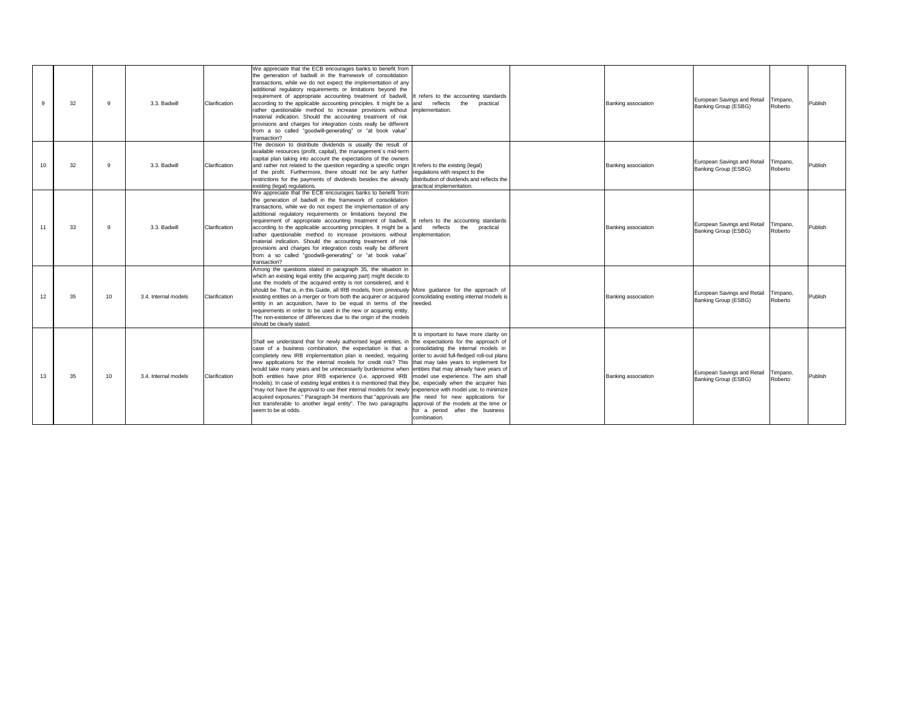|                 | 32  |    | 3.3. Badwill         | Clarification | We appreciate that the ECB encourages banks to benefit from<br>the generation of badwill in the framework of consolidation<br>transactions, while we do not expect the implementation of any<br>additional regulatory requirements or limitations beyond the<br>requirement of appropriate accounting treatment of badwill, It refers to the accounting standards<br>according to the applicable accounting principles. It might be a and<br>reflects<br>the practical<br>rather questionable method to increase provisions without implementation.<br>material indication. Should the accounting treatment of risk<br>provisions and charges for integration costs really be different<br>from a so called "goodwill-generating" or "at book value"<br>transaction?                                                                                                                                                                                                                                                                                                                                                                                                                         | <b>Banking association</b> | European Savings and Retail<br><b>Banking Group (ESBG)</b>        | Timpano,<br>Roberto | Publish |
|-----------------|-----|----|----------------------|---------------|----------------------------------------------------------------------------------------------------------------------------------------------------------------------------------------------------------------------------------------------------------------------------------------------------------------------------------------------------------------------------------------------------------------------------------------------------------------------------------------------------------------------------------------------------------------------------------------------------------------------------------------------------------------------------------------------------------------------------------------------------------------------------------------------------------------------------------------------------------------------------------------------------------------------------------------------------------------------------------------------------------------------------------------------------------------------------------------------------------------------------------------------------------------------------------------------|----------------------------|-------------------------------------------------------------------|---------------------|---------|
| 10              | 32  | -9 | 3.3. Badwill         | Clarification | The decision to distribute dividends is usually the result of<br>available resources (profit, capital), the management's mid-term<br>capital plan taking into account the expectations of the owners<br>and rather not related to the question regarding a specific origin It refers to the existing (legal)<br>of the profit. Furthermore, there should not be any further<br>requiations with respect to the<br>restrictions for the payments of dividends besides the already distribution of dividends and reflects the<br>practical implementation.<br>existing (legal) regulations.                                                                                                                                                                                                                                                                                                                                                                                                                                                                                                                                                                                                    | <b>Banking association</b> | <b>European Savings and Retail</b><br>Banking Group (ESBG)        | Timpano,<br>Roberto | Publish |
| 11              | 33  | q  | 3.3. Badwill         | Clarification | We appreciate that the ECB encourages banks to benefit from<br>the generation of badwill in the framework of consolidation<br>transactions, while we do not expect the implementation of any<br>additional regulatory requirements or limitations beyond the<br>requirement of appropriate accounting treatment of badwill,<br>t refers to the accounting standards<br>according to the applicable accounting principles. It might be a and<br>reflects the practical<br>rather questionable method to increase provisions without implementation.<br>material indication. Should the accounting treatment of risk<br>provisions and charges for integration costs really be different<br>from a so called "goodwill-generating" or "at book value"<br>transaction?                                                                                                                                                                                                                                                                                                                                                                                                                          | <b>Banking association</b> | <b>European Savings and Retail</b><br><b>Banking Group (ESBG)</b> | Timpano,<br>Roberto | Publish |
| 12 <sup>2</sup> | 35  | 10 | 3.4. Internal models | Clarification | Among the questions stated in paragraph 35, the situation in<br>which an existing legal entity (the acquiring part) might decide to<br>use the models of the acquired entity is not considered, and it<br>should be. That is, in this Guide, all IRB models, from previously More guidance for the approach of<br>existing entities on a merger or from both the acquirer or acquired consolidating existing internal models is<br>entity in an acquisition, have to be equal in terms of the needed.<br>requirements in order to be used in the new or acquiring entity.<br>The non-existence of differences due to the origin of the models<br>should be clearly stated.                                                                                                                                                                                                                                                                                                                                                                                                                                                                                                                   | <b>Banking association</b> | European Savings and Retail<br><b>Banking Group (ESBG)</b>        | Timpano,<br>Roberto | Publish |
| 13              | -35 | 10 | 3.4. Internal models | Clarification | It is important to have more clarity on<br>Shall we understand that for newly authorised legal entities, in the expectations for the approach of<br>case of a business combination, the expectation is that a consolidating the internal models in<br>completely new IRB implementation plan is needed, requiring order to avoid full-fledged roll-out plans<br>new applications for the internal models for credit risk? This that may take years to implement for<br>would take many years and be unnecessarily burdensome when entities that may already have years of<br>both entities have prior IRB experience (i.e. approved IRB   model use experience. The aim shall<br>models). In case of existing legal entities it is mentioned that they be, especially when the acquirer has<br>"may not have the approval to use their internal models for newly experience with model use, to minimize<br>acquired exposures." Paragraph 34 mentions that "approvals are the need for new applications for<br>not transferable to another legal entity". The two paragraphs approval of the models at the time or<br>for a period after the business<br>seem to be at odds.<br>combination. | <b>Banking association</b> | European Savings and Retail<br><b>Banking Group (ESBG)</b>        | Timpano,<br>Roberto | Publish |